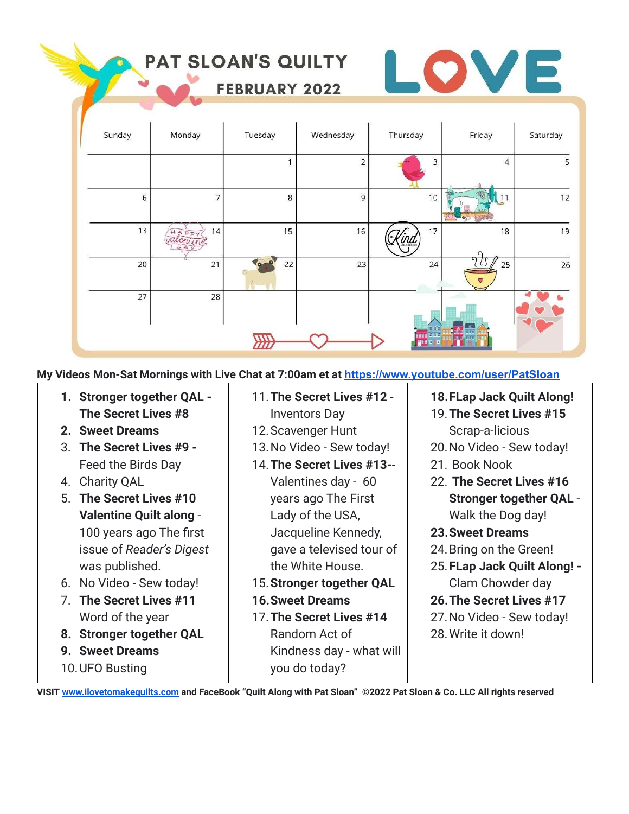|        | PAT SLOAN'S QUILTY | <b>FEBRUARY 2022</b> |                |                   |                 | Ξ        |
|--------|--------------------|----------------------|----------------|-------------------|-----------------|----------|
| Sunday | Monday             | Tuesday              | Wednesday      | Thursday          | Friday          | Saturday |
|        |                    | $\mathbf{1}$         | $\overline{2}$ | 3                 | 4               | 5        |
| 6      | $\overline{7}$     | $\,$ 8 $\,$          | 9              | 10                |                 | 12       |
| 13     | 14                 | 15                   | 16             | 17                | 18              | 19       |
| 20     | 21                 | 22                   | 23             | 24                | 25<br>$\bullet$ | 26       |
| 27     | 28                 |                      |                | 000               |                 |          |
|        |                    |                      |                | 888<br><b>BBB</b> |                 |          |

**My Videos Mon-Sat Mornings with Live Chat at 7:00am et at [https://www.youtube.com/user/PatSloan](https://www.youtube.com/user/PatSloan?sub_confirmation=1)**

- **1. Stronger together QAL - The Secret Lives #8**
- **2. Sweet Dreams**
- 3. **The Secret Lives #9 -** Feed the Birds Day
- 4. Charity QAL
- 5. **The Secret Lives #10 Valentine Quilt along** - 100 years ago The first issue of *Reader's Digest* was published.
- 6. No Video Sew today!
- 7. **The Secret Lives #11** Word of the year
- **8. Stronger together QAL**
- **9. Sweet Dreams**
- 10.UFO Busting
- 11.**The Secret Lives #12** -
- Inventors Day 12.Scavenger Hunt
- 13.No Video Sew today!
- 14.**The Secret Lives #13-** Valentines day - 60 years ago The First Lady of the USA, Jacqueline Kennedy, gave a televised tour of the White House.
- 15.**Stronger together QAL**
- **16.Sweet Dreams**
- 17.**The Secret Lives #14** Random Act of Kindness day - what will you do today?
- **18.FLap Jack Quilt Along!**
- 19.**The Secret Lives #15** Scrap-a-licious
- 20.No Video Sew today!
- 21. Book Nook
- 22. **The Secret Lives #16 Stronger together QAL** - Walk the Dog day!
- **23.Sweet Dreams**
- 24.Bring on the Green!
- 25.**FLap Jack Quilt Along! -** Clam Chowder day
- **26.The Secret Lives #17**
- 27.No Video Sew today!
- 28.Write it down!

**VISIT [www.ilovetomakequilts.com](http://www.ilovetomakequilts.com) and FaceBook "Quilt Along with Pat Sloan" ©2022 Pat Sloan & Co. LLC All rights reserved**